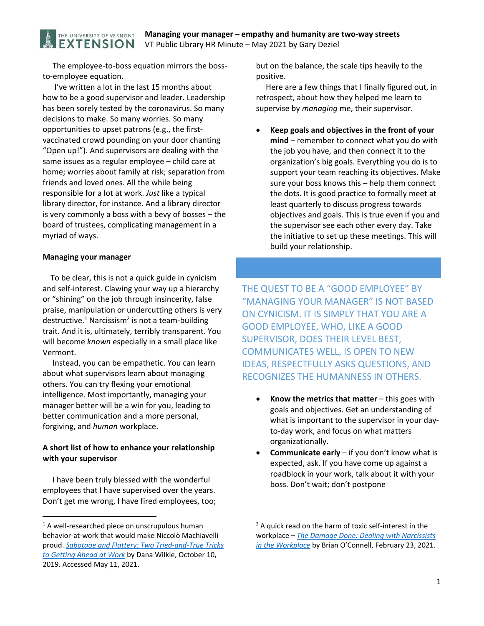The employee-to-boss equation mirrors the bossto‐employee equation.

THE UNIVERSITY OF VERMONT **EXTENSION** 

 I've written a lot in the last 15 months about how to be a good supervisor and leader. Leadership has been sorely tested by the coronavirus. So many decisions to make. So many worries. So many opportunities to upset patrons (e.g., the first‐ vaccinated crowd pounding on your door chanting "Open up!"). And supervisors are dealing with the same issues as a regular employee – child care at home; worries about family at risk; separation from friends and loved ones. All the while being responsible for a lot at work. *Just* like a typical library director, for instance. And a library director is very commonly a boss with a bevy of bosses – the board of trustees, complicating management in a myriad of ways.

#### **Managing your manager**

 To be clear, this is not a quick guide in cynicism and self‐interest. Clawing your way up a hierarchy or "shining" on the job through insincerity, false praise, manipulation or undercutting others is very destructive.<sup>1</sup> Narcissism<sup>2</sup> is not a team-building trait. And it is, ultimately, terribly transparent. You will become *known* especially in a small place like Vermont.

 Instead, you can be empathetic. You can learn about what supervisors learn about managing others. You can try flexing your emotional intelligence. Most importantly, managing your manager better will be a win for you, leading to better communication and a more personal, forgiving, and *human* workplace.

## **A short list of how to enhance your relationship with your supervisor**

 I have been truly blessed with the wonderful employees that I have supervised over the years. Don't get me wrong, I have fired employees, too;

but on the balance, the scale tips heavily to the positive.

 Here are a few things that I finally figured out, in retrospect, about how they helped me learn to supervise by *managing* me, their supervisor.

 **Keep goals and objectives in the front of your mind** – remember to connect what you do with the job you have, and then connect it to the organization's big goals. Everything you do is to support your team reaching its objectives. Make sure your boss knows this – help them connect the dots. It is good practice to formally meet at least quarterly to discuss progress towards objectives and goals. This is true even if you and the supervisor see each other every day. Take the initiative to set up these meetings. This will build your relationship.

THE QUEST TO BE A "GOOD EMPLOYEE" BY "MANAGING YOUR MANAGER" IS NOT BASED ON CYNICISM. IT IS SIMPLY THAT YOU ARE A GOOD EMPLOYEE, WHO, LIKE A GOOD SUPERVISOR, DOES THEIR LEVEL BEST, COMMUNICATES WELL, IS OPEN TO NEW IDEAS, RESPECTFULLY ASKS QUESTIONS, AND RECOGNIZES THE HUMANNESS IN OTHERS.

- **Know the metrics that matter** this goes with goals and objectives. Get an understanding of what is important to the supervisor in your day‐ to‐day work, and focus on what matters organizationally.
- **Communicate early**  if you don't know what is expected, ask. If you have come up against a roadblock in your work, talk about it with your boss. Don't wait; don't postpone

<sup>&</sup>lt;sup>1</sup> A well-researched piece on unscrupulous human behavior‐at‐work that would make Niccolò Machiavelli proud. *Sabotage and Flattery: Two Tried‐and‐True Tricks to Getting Ahead at Work* by Dana Wilkie, October 10, 2019. Accessed May 11, 2021.

 $2$  A quick read on the harm of toxic self-interest in the workplace – *The Damage Done: Dealing with Narcissists in the Workplace* by Brian O'Connell, February 23, 2021.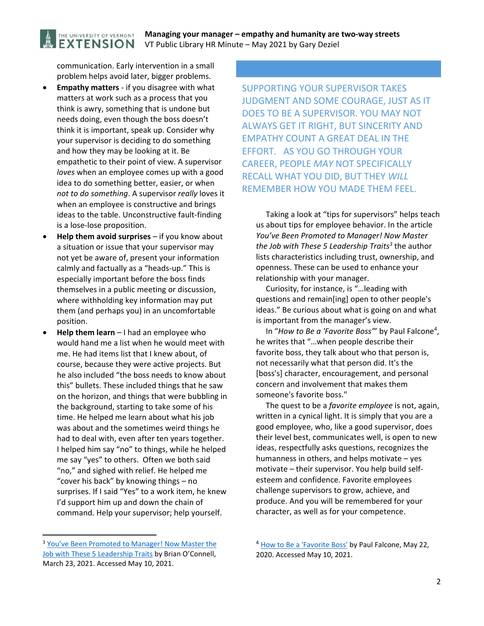## **Managing your manager – empathy and humanity are two‐way streets**  VT Public Library HR Minute – May 2021 by Gary Deziel

communication. Early intervention in a small problem helps avoid later, bigger problems.

THE UNIVERSITY OF VERMONT **EXTENSION** 

- **Empathy matters** ‐ if you disagree with what matters at work such as a process that you think is awry, something that is undone but needs doing, even though the boss doesn't think it is important, speak up. Consider why your supervisor is deciding to do something and how they may be looking at it. Be empathetic to their point of view. A supervisor *loves* when an employee comes up with a good idea to do something better, easier, or when *not to do something*. A supervisor *really* loves it when an employee is constructive and brings ideas to the table. Unconstructive fault‐finding is a lose‐lose proposition.
- **Help them avoid surprises** if you know about a situation or issue that your supervisor may not yet be aware of, present your information calmly and factually as a "heads‐up." This is especially important before the boss finds themselves in a public meeting or discussion, where withholding key information may put them (and perhaps you) in an uncomfortable position.
- **Help them learn**  I had an employee who would hand me a list when he would meet with me. He had items list that I knew about, of course, because they were active projects. But he also included "the boss needs to know about this" bullets. These included things that he saw on the horizon, and things that were bubbling in the background, starting to take some of his time. He helped me learn about what his job was about and the sometimes weird things he had to deal with, even after ten years together. I helped him say "no" to things, while he helped me say "yes" to others. Often we both said "no," and sighed with relief. He helped me "cover his back" by knowing things – no surprises. If I said "Yes" to a work item, he knew I'd support him up and down the chain of command. Help your supervisor; help yourself.

SUPPORTING YOUR SUPERVISOR TAKES JUDGMENT AND SOME COURAGE, JUST AS IT DOES TO BE A SUPERVISOR. YOU MAY NOT ALWAYS GET IT RIGHT, BUT SINCERITY AND EMPATHY COUNT A GREAT DEAL IN THE EFFORT. AS YOU GO THROUGH YOUR CAREER, PEOPLE *MAY* NOT SPECIFICALLY RECALL WHAT YOU DID, BUT THEY *WILL* REMEMBER HOW YOU MADE THEM FEEL.

 Taking a look at "tips for supervisors" helps teach us about tips for employee behavior. In the article *You've Been Promoted to Manager! Now Master the Job with These 5 Leadership Traits*<sup>3</sup> the author lists characteristics including trust, ownership, and openness. These can be used to enhance your relationship with your manager.

 Curiosity, for instance, is "…leading with questions and remain[ing] open to other people's ideas." Be curious about what is going on and what is important from the manager's view.

In "How to Be a 'Favorite Boss'" by Paul Falcone<sup>4</sup>, he writes that "…when people describe their favorite boss, they talk about who that person is, not necessarily what that person did. It's the [boss's] character, encouragement, and personal concern and involvement that makes them someone's favorite boss."

 The quest to be a *favorite employee* is not, again, written in a cynical light. It is simply that you are a good employee, who, like a good supervisor, does their level best, communicates well, is open to new ideas, respectfully asks questions, recognizes the humanness in others, and helps motivate – yes motivate – their supervisor. You help build self‐ esteem and confidence. Favorite employees challenge supervisors to grow, achieve, and produce. And you will be remembered for your character, as well as for your competence.

<sup>3</sup> You've Been Promoted to Manager! Now Master the Job with These 5 Leadership Traits by Brian O'Connell, March 23, 2021. Accessed May 10, 2021.

<sup>&</sup>lt;sup>4</sup> How to Be a 'Favorite Boss' by Paul Falcone, May 22, 2020. Accessed May 10, 2021.